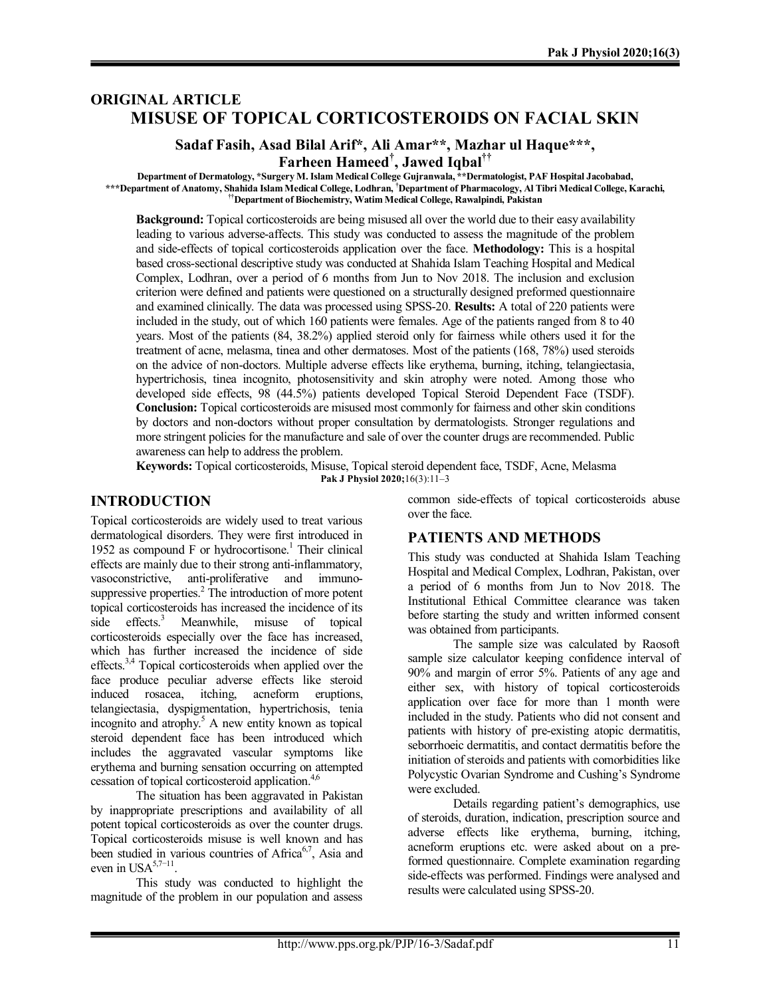# **ORIGINAL ARTICLE MISUSE OF TOPICAL CORTICOSTEROIDS ON FACIAL SKIN**

# **Sadaf Fasih, Asad Bilal Arif\*, Ali Amar\*\*, Mazhar ul Haque\*\*\*,**

**Farheen Hameed† , Jawed Iqbal††**

**Department of Dermatology, \*Surgery M. Islam Medical College Gujranwala, \*\*Dermatologist, PAF Hospital Jacobabad, \*\*\*Department of Anatomy, Shahida Islam Medical College, Lodhran, †Department of Pharmacology, Al Tibri Medical College, Karachi, ††Department of Biochemistry, Watim Medical College, Rawalpindi, Pakistan**

**Background:** Topical corticosteroids are being misused all over the world due to their easy availability leading to various adverse-affects. This study was conducted to assess the magnitude of the problem and side-effects of topical corticosteroids application over the face. **Methodology:** This is a hospital based cross-sectional descriptive study was conducted at Shahida Islam Teaching Hospital and Medical Complex, Lodhran, over a period of 6 months from Jun to Nov 2018. The inclusion and exclusion criterion were defined and patients were questioned on a structurally designed preformed questionnaire and examined clinically. The data was processed using SPSS-20. **Results:** A total of 220 patients were included in the study, out of which 160 patients were females. Age of the patients ranged from 8 to 40 years. Most of the patients (84, 38.2%) applied steroid only for fairness while others used it for the treatment of acne, melasma, tinea and other dermatoses. Most of the patients (168, 78%) used steroids on the advice of non-doctors. Multiple adverse effects like erythema, burning, itching, telangiectasia, hypertrichosis, tinea incognito, photosensitivity and skin atrophy were noted. Among those who developed side effects, 98 (44.5%) patients developed Topical Steroid Dependent Face (TSDF). **Conclusion:** Topical corticosteroids are misused most commonly for fairness and other skin conditions by doctors and non-doctors without proper consultation by dermatologists. Stronger regulations and more stringent policies for the manufacture and sale of over the counter drugs are recommended. Public awareness can help to address the problem.

**Keywords:** Topical corticosteroids, Misuse, Topical steroid dependent face, TSDF, Acne, Melasma **Pak J Physiol 2020;**16(3):11–3

### **INTRODUCTION**

Topical corticosteroids are widely used to treat various dermatological disorders. They were first introduced in 1952 as compound  $F$  or hydrocortisone.<sup>1</sup> Their clinical effects are mainly due to their strong anti-inflammatory, vasoconstrictive, anti-proliferative and immunosuppressive properties.<sup>2</sup> The introduction of more potent topical corticosteroids has increased the incidence of its<br>side  $\epsilon$  effects.<sup>3</sup> Meanwhile misuse of topical  $effects.<sup>3</sup>$  Meanwhile, misuse of topical corticosteroids especially over the face has increased, which has further increased the incidence of side effects.3,4 Topical corticosteroids when applied over the face produce peculiar adverse effects like steroid induced rosacea, itching, acneform eruptions, telangiectasia, dyspigmentation, hypertrichosis, tenia incognito and atrophy. 5 A new entity known as topical steroid dependent face has been introduced which includes the aggravated vascular symptoms like erythema and burning sensation occurring on attempted cessation of topical corticosteroid application.<sup>4,6</sup>

The situation has been aggravated in Pakistan by inappropriate prescriptions and availability of all potent topical corticosteroids as over the counter drugs. Topical corticosteroids misuse is well known and has been studied in various countries of Africa<sup>6,7</sup>, Asia and even in USA<sup>5,7–11</sup>.

This study was conducted to highlight the magnitude of the problem in our population and assess

common side-effects of topical corticosteroids abuse over the face.

#### **PATIENTS AND METHODS**

This study was conducted at Shahida Islam Teaching Hospital and Medical Complex, Lodhran, Pakistan, over a period of 6 months from Jun to Nov 2018. The Institutional Ethical Committee clearance was taken before starting the study and written informed consent was obtained from participants.

The sample size was calculated by Raosoft sample size calculator keeping confidence interval of 90% and margin of error 5%. Patients of any age and either sex, with history of topical corticosteroids application over face for more than 1 month were included in the study. Patients who did not consent and patients with history of pre-existing atopic dermatitis, seborrhoeic dermatitis, and contact dermatitis before the initiation of steroids and patients with comorbidities like Polycystic Ovarian Syndrome and Cushing's Syndrome were excluded.

Details regarding patient's demographics, use of steroids, duration, indication, prescription source and adverse effects like erythema, burning, itching, acneform eruptions etc. were asked about on a preformed questionnaire. Complete examination regarding side-effects was performed. Findings were analysed and results were calculated using SPSS-20.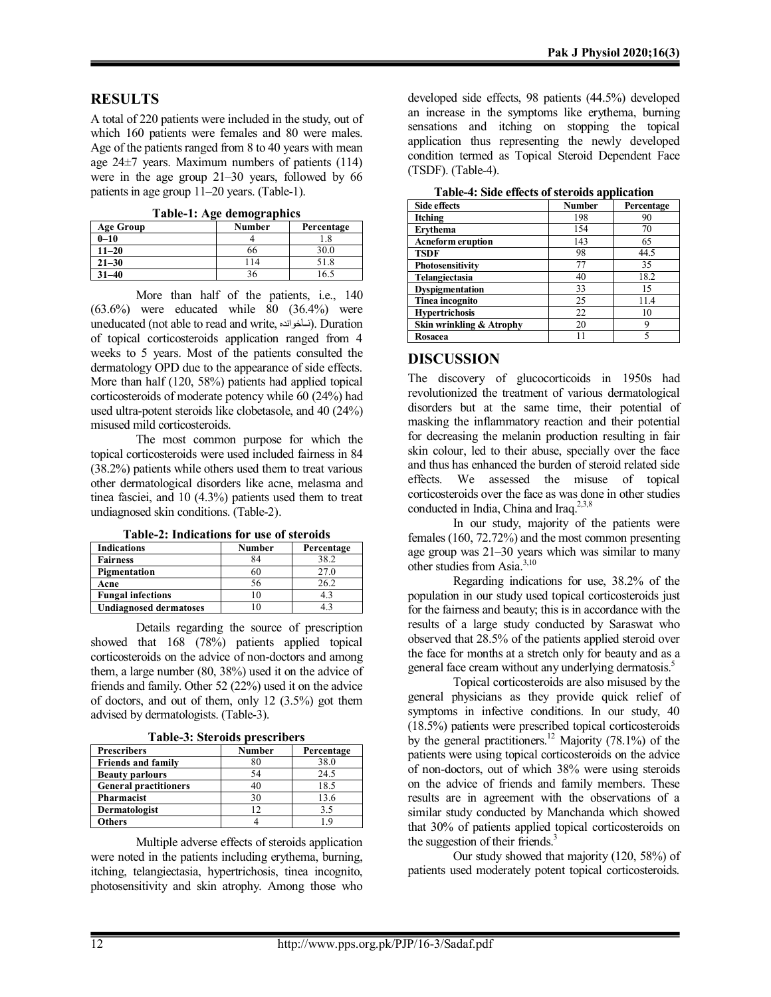### **RESULTS**

A total of 220 patients were included in the study, out of which 160 patients were females and 80 were males. Age of the patients ranged from 8 to 40 years with mean age 24±7 years. Maximum numbers of patients (114) were in the age group 21–30 years, followed by 66 patients in age group 11–20 years. (Table-1).

**Table-1: Age demographics**

| <b>Age Group</b> | <b>Number</b> | Percentage |
|------------------|---------------|------------|
| $0 - 10$         |               |            |
| $11 - 20$        | 66            | 30.0       |
| $21 - 30$        | 114           | 51.8       |
| $31 - 40$        |               |            |

More than half of the patients, i.e., 140  $(63.6\%)$  were educated while 80  $(36.4\%)$  were uneducated (not able to read and write, ناخوانده). Duration of topical corticosteroids application ranged from 4 weeks to 5 years. Most of the patients consulted the dermatology OPD due to the appearance of side effects. More than half (120, 58%) patients had applied topical corticosteroids of moderate potency while 60 (24%) had used ultra-potent steroids like clobetasole, and 40 (24%) misused mild corticosteroids.

The most common purpose for which the topical corticosteroids were used included fairness in 84 (38.2%) patients while others used them to treat various other dermatological disorders like acne, melasma and tinea fasciei, and 10 (4.3%) patients used them to treat undiagnosed skin conditions. (Table-2).

| <b>Table-2: Indications for use of steroids</b> |  |  |  |  |
|-------------------------------------------------|--|--|--|--|
|-------------------------------------------------|--|--|--|--|

| <b>Indications</b>            | <b>Number</b> | Percentage |
|-------------------------------|---------------|------------|
| <b>Fairness</b>               | 84            | 38.2       |
| Pigmentation                  | 60            | 27.0       |
| Acne                          | 56            | 26.2       |
| <b>Fungal infections</b>      | 0             |            |
| <b>Undiagnosed dermatoses</b> |               |            |

Details regarding the source of prescription showed that 168 (78%) patients applied topical corticosteroids on the advice of non-doctors and among them, a large number (80, 38%) used it on the advice of friends and family. Other 52 (22%) used it on the advice of doctors, and out of them, only 12 (3.5%) got them advised by dermatologists. (Table-3).

| 1 avit-9. Siti vius prestribei s |        |            |  |  |
|----------------------------------|--------|------------|--|--|
| <b>Prescribers</b>               | Number | Percentage |  |  |
| <b>Friends and family</b>        | 80     | 38.0       |  |  |
| <b>Beauty parlours</b>           | 54     | 24.5       |  |  |
| <b>General practitioners</b>     | 40     | 18.5       |  |  |
| Pharmacist                       | 30     | 13.6       |  |  |
| Dermatologist                    | 12     | 3.5        |  |  |
| <b>Others</b>                    |        |            |  |  |

**Table-3: Steroids prescribers**

Multiple adverse effects of steroids application were noted in the patients including erythema, burning, itching, telangiectasia, hypertrichosis, tinea incognito, photosensitivity and skin atrophy. Among those who

developed side effects, 98 patients (44.5%) developed an increase in the symptoms like erythema, burning sensations and itching on stopping the topical application thus representing the newly developed condition termed as Topical Steroid Dependent Face (TSDF). (Table-4).

**Table-4: Side effects of steroids application**

| Side effects             | <b>Number</b> | Percentage |  |
|--------------------------|---------------|------------|--|
| Itching                  | 198           | 90         |  |
| Ervthema                 | 154           | 70         |  |
| <b>Acneform eruption</b> | 143           | 65         |  |
| <b>TSDF</b>              | 98            | 44.5       |  |
| Photosensitivity         | 77            | 35         |  |
| Telangiectasia           | 40            | 18.2       |  |
| <b>Dyspigmentation</b>   | 33            | 15         |  |
| Tinea incognito          | 25            | 11.4       |  |
| <b>Hypertrichosis</b>    | 22            | 10         |  |
| Skin wrinkling & Atrophy | 20            |            |  |
| Rosacea                  |               |            |  |

#### **DISCUSSION**

The discovery of glucocorticoids in 1950s had revolutionized the treatment of various dermatological disorders but at the same time, their potential of masking the inflammatory reaction and their potential for decreasing the melanin production resulting in fair skin colour, led to their abuse, specially over the face and thus has enhanced the burden of steroid related side effects. We assessed the misuse of topical corticosteroids over the face as was done in other studies conducted in India, China and Iraq.<sup>2,3,8</sup>

In our study, majority of the patients were females (160, 72.72%) and the most common presenting age group was 21–30 years which was similar to many other studies from Asia.3,10

Regarding indications for use, 38.2% of the population in our study used topical corticosteroids just for the fairness and beauty; this is in accordance with the results of a large study conducted by Saraswat who observed that 28.5% of the patients applied steroid over the face for months at a stretch only for beauty and as a general face cream without any underlying dermatosis.<sup>5</sup>

Topical corticosteroids are also misused by the general physicians as they provide quick relief of symptoms in infective conditions. In our study, 40 (18.5%) patients were prescribed topical corticosteroids by the general practitioners.<sup>12</sup> Majority (78.1%) of the patients were using topical corticosteroids on the advice of non-doctors, out of which 38% were using steroids on the advice of friends and family members. These results are in agreement with the observations of a similar study conducted by Manchanda which showed that 30% of patients applied topical corticosteroids on the suggestion of their friends. $3$ 

Our study showed that majority (120, 58%) of patients used moderately potent topical corticosteroids.